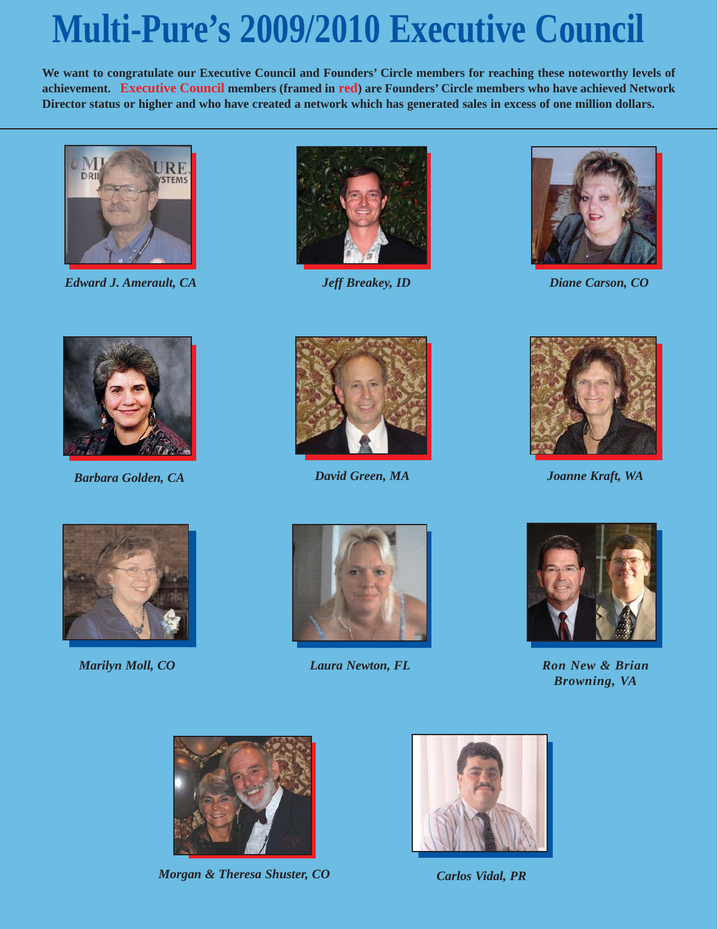## **Multi-Pure's 2009/2010 Executive Council**

**We want to congratulate our Executive Council and Founders' Circle members for reaching these noteworthy levels of achievement. Executive Council members (framed in red) are Founders' Circle members who have achieved Network Director status or higher and who have created a network which has generated sales in excess of one million dollars.**



*Edward J. Amerault, CA Jeff Breakey, ID*





*Diane Carson, CO*



*Barbara Golden, CA*





*David Green, MA Joanne Kraft, WA*





*Marilyn Moll, CO Laura Newton, FL*



*Ron New & Brian Browning, VA*



*Morgan & Theresa Shuster, CO*



*Carlos Vidal, PR*